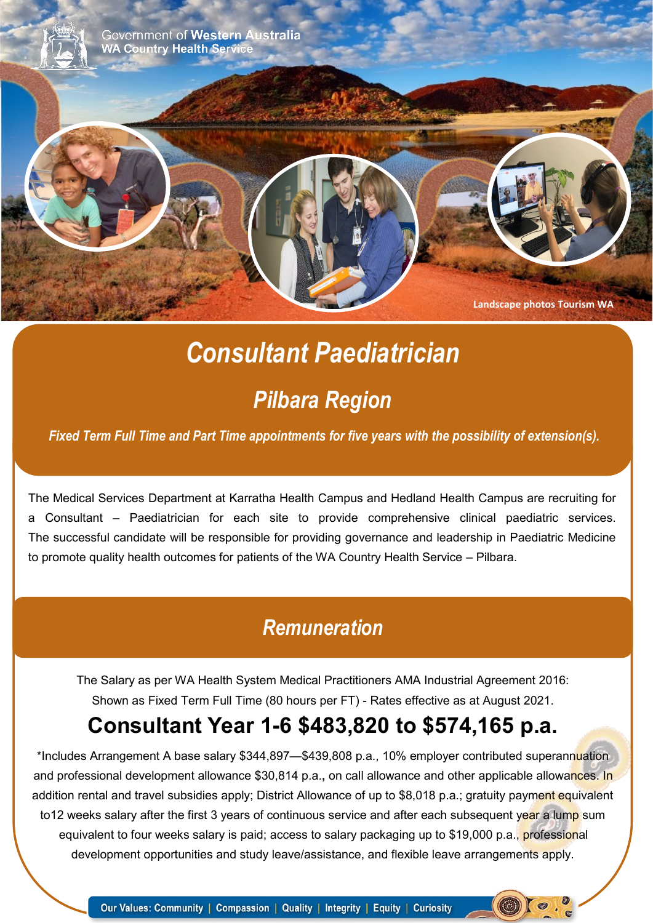

# *Consultant Paediatrician*

# *Pilbara Region*

*Fixed Term Full Time and Part Time appointments for five years with the possibility of extension(s).*

The Medical Services Department at Karratha Health Campus and Hedland Health Campus are recruiting for a Consultant – Paediatrician for each site to provide comprehensive clinical paediatric services. The successful candidate will be responsible for providing governance and leadership in Paediatric Medicine to promote quality health outcomes for patients of the WA Country Health Service – Pilbara.

### *Remuneration*

The Salary as per WA Health System Medical Practitioners AMA Industrial Agreement 2016: Shown as Fixed Term Full Time (80 hours per FT) - Rates effective as at August 2021.

# **Consultant Year 1-6 \$483,820 to \$574,165 p.a.**

\*Includes Arrangement A base salary \$344,897—\$439,808 p.a., 10% employer contributed superannuation and professional development allowance \$30,814 p.a.**,** on call allowance and other applicable allowances. In addition rental and travel subsidies apply; District Allowance of up to \$8,018 p.a.; gratuity payment equivalent to12 weeks salary after the first 3 years of continuous service and after each subsequent year a lump sum equivalent to four weeks salary is paid; access to salary packaging up to \$19,000 p.a., professional development opportunities and study leave/assistance, and flexible leave arrangements apply.